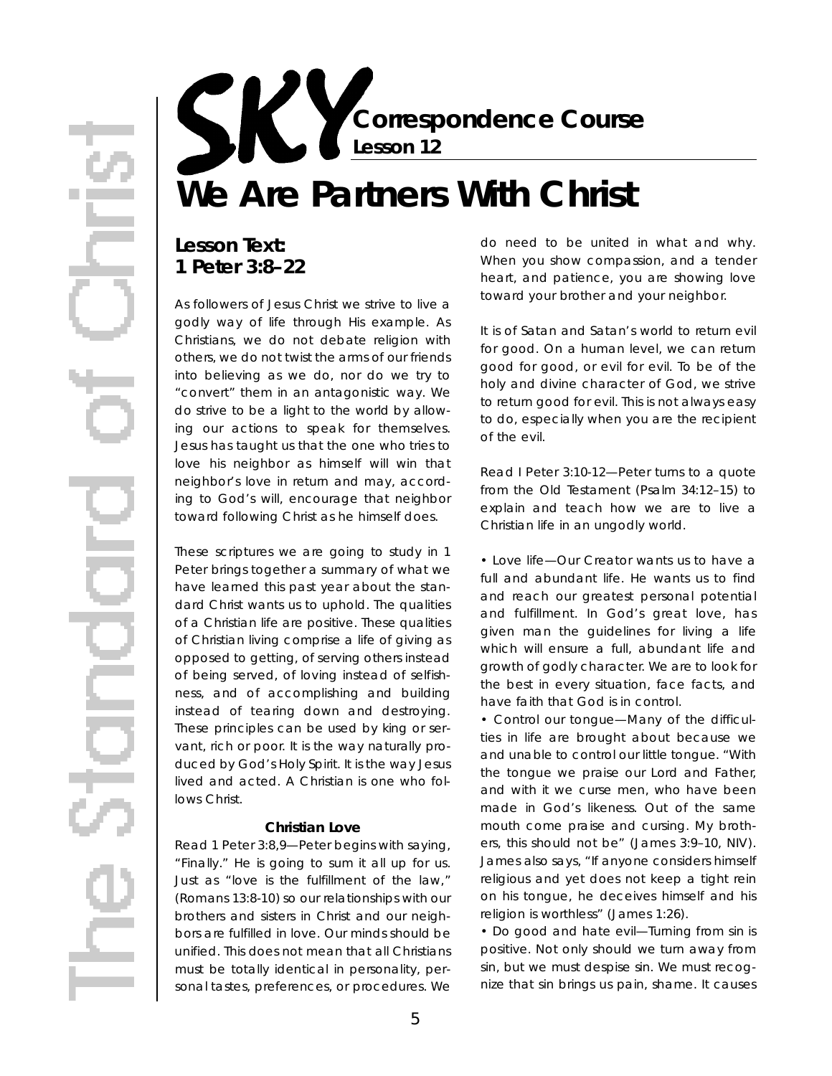**Correspondence Course Lesson 12**

# **We Are Partners With Christ**

## Lesson Text: **1 Peter 3:8–22**

As followers of Jesus Christ we strive to live a godly way of life through His example. As Christians, we do not debate religion with others, we do not twist the arms of our friends into believing as we do, nor do we try to "convert" them in an antagonistic way. We do strive to be a light to the world by allowing our actions to speak for themselves. Jesus has taught us that the one who tries to love his neighbor as himself will win that neighbor's love in return and may, according to God's will, encourage that neighbor toward following Christ as he himself does.

These scriptures we are going to study in 1 Peter brings together a summary of what we have learned this past year about the standard Christ wants us to uphold. The qualities of a Christian life are positive. These qualities of Christian living comprise a life of giving as opposed to getting, of serving others instead of being served, of loving instead of selfishness, and of accomplishing and building instead of tearing down and destroying. These principles can be used by king or servant, rich or poor. It is the way naturally produced by God's Holy Spirit. It is the way Jesus lived and acted. A Christian is one who follows Christ.

### **Christian Love**

*Read 1 Peter 3:8,9*—Peter begins with saying, "Finally." He is going to sum it all up for us. Just as "love is the fulfillment of the law," (Romans 13:8-10) so our relationships with our brothers and sisters in Christ and our neighbors are fulfilled in love. Our minds should be unified. This does not mean that all Christians must be totally identical in personality, personal tastes, preferences, or procedures. We

do need to be united in *what* and *why*. When you show compassion, and a tender heart, and patience, you are showing love toward your brother and your neighbor.

It is of Satan and Satan's world to return evil for good. On a human level, we can return good for good, or evil for evil. To be of the holy and divine character of God, we strive to return good for evil. This is not always easy to do, especially when you are the recipient of the evil.

*Read I Peter 3:10-12*—Peter turns to a quote from the Old Testament (Psalm 34:12-15) to explain and teach how we are to live a Christian life in an ungodly world.

• *Love life*—Our Creator wants us to have a full and abundant life. He wants us to find and reach our greatest personal potential and fulfillment. In God's great love, has given man the guidelines for living a life which will ensure a full, abundant life and growth of godly character. We are to look for the best in every situation, face facts, and have faith that God is in control.

• *Control our tongue*—Many of the difficulties in life are brought about because we and unable to control our little tongue. "With the tongue we praise our Lord and Father, and with it we curse men, who have been made in God's likeness. Out of the same mouth come praise and cursing. My brothers, this should not be" (James 3:9–10, NIV). James also says, "If anyone considers himself religious and yet does not keep a tight rein on his tongue, he deceives himself and his religion is worthless" (James 1:26).

• *Do good and hate evi*— Turning from sin is positive. Not only should we turn away from sin, but we must *despise* sin. We must recoqnize that sin brings us pain, shame. It causes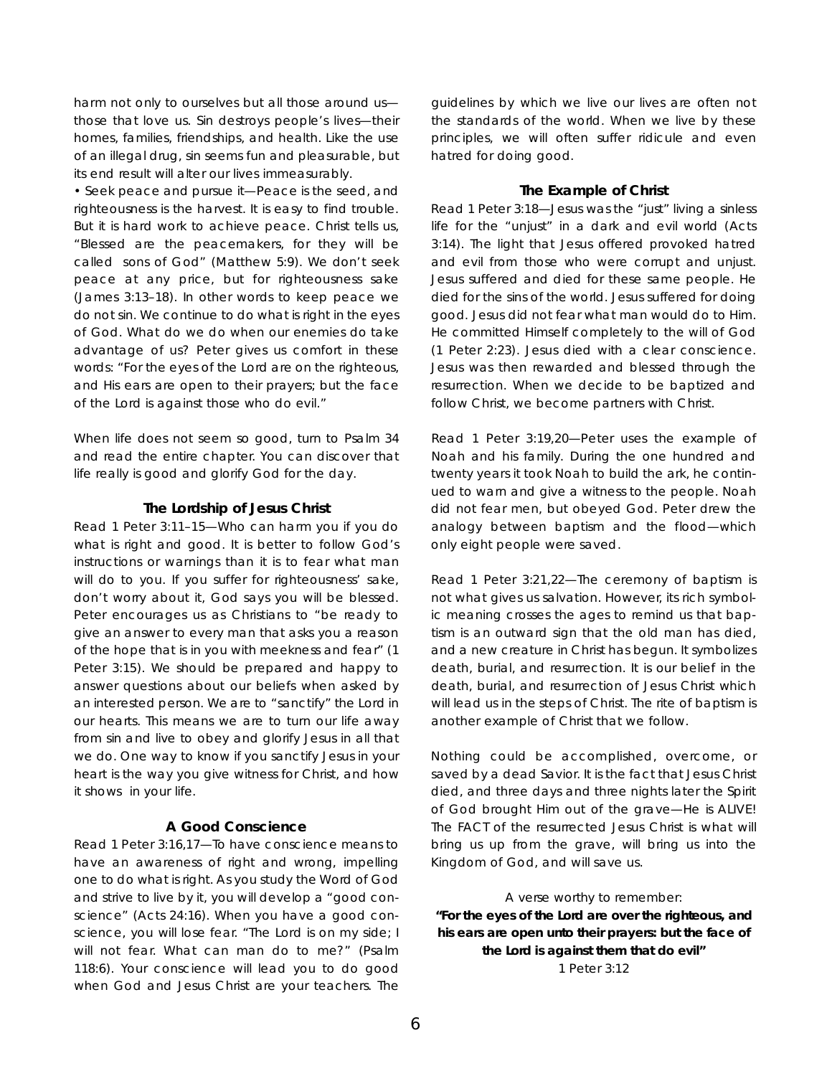harm not only to ourselves but all those around usthose that love us. Sin destroys people's lives—their homes, families, friendships, and health. Like the use of an illegal drug, sin seems fun and pleasurable, but its end result will alter our lives immeasurably.

• *Seek peace and pursue it*—Peace is the seed, and righteousness is the harvest. It is easy to find trouble. But it is hard work to achieve peace. Christ tells us, "Blessed are the peacemakers, for they will be called sons of God" (Matthew 5:9). We don't seek peace at any price, but for *righteousness* sake (James 3:13–18). In other words to keep peace we do not sin. We continue to do what is right in the eyes of God. What do we do when our enemies do take advantage of us? Peter gives us comfort in these words: "For the eyes of the Lord are on the righteous, and His ears are open to their prayers; but the face of the Lord is against those who do evil."

When life does not seem so good, turn to Psalm 34 and read the entire chapter. You can discover that life really *is* good and glorify God for the day.

### **The Lordship of Jesus Christ**

*Read 1 Peter 3:11–15*—Who can harm you if you do what is right and good. It is better to follow God's instructions or warnings than it is to fear what man will do to you. If you suffer for righteousness' sake, don't worry about it, God says you will be blessed. Peter encourages us as Christians to "be ready to give an answer to every man that asks you a reason of the hope that is in you with meekness and fear" (1 Peter 3:15). We should be prepared and happy to answer questions about our beliefs when asked by an interested person. We are to "sanctify" the Lord in our hearts. This means we are to turn our life away from sin and live to obey and glorify Jesus in all that we do. One way to know if you sanctify Jesus in your heart is the way you give witness for Christ, and how it shows in your life.

### **A Good Conscience**

*Read 1 Peter 3:16,17*— To have conscience means to have an awareness of right and wrong, impelling one to do what is right. As you study the Word of God and strive to live by it, you will develop a "good conscience" (Acts 24:16). When you have a good conscience, you will lose fear. "The Lord is on my side; I will not fear. What can man do to me?" (Psalm 118:6). Your conscience will lead you to do good when God and Jesus Christ are your teachers. The

guidelines by which we live our lives are often not the standards of the world. When we live by these principles, we will often suffer ridicule and even hatred for doing good.

### **The Example of Christ**

*Read 1 Peter 3:18*—Jesus was the "just" living a sinless life for the "unjust" in a dark and evil world (Acts 3:14). The light that Jesus offered provoked hatred and evil from those who were corrupt and unjust. Jesus suffered and died for these same people. He died for the sins of the world. Jesus suffered for doing good. Jesus did not fear what man would do to Him. He committed Himself completely to the will of God (1 Peter 2:23). Jesus died with a clear conscience. Jesus was then rewarded and blessed through the resurrection. When we decide to be baptized and follow Christ, we become partners with Christ.

*Read 1 Peter 3:19,20*—Peter uses the example of Noah and his family. During the one hundred and twenty years it took Noah to build the ark, he continued to warn and give a witness to the people. Noah did not fear men, but obeyed God. Peter drew the analogy between baptism and the flood—which only eight people were saved.

*Read 1 Peter 3:21,22*—The ceremony of baptism is not what gives us salvation. However, its rich symbolic meaning crosses the ages to remind us that baptism is an outward sign that the old man has died, and a new creature in Christ has begun. It symbolizes death, burial, and resurrection. It is our *belief* in the death, burial, and resurrection of Jesus Christ which will lead us in the steps of Christ. The rite of baptism is another example of Christ that we follow.

Nothing could be accomplished, overcome, or saved by a dead Savior. It is the fact that Jesus Christ died, and three days and three nights later the *Spirit* of God brought Him out of the grave—He is ALIVE! The FACT of the resurrected Jesus Christ is what will bring us up from the grave, will bring us into the Kingdom of God, and will save us.

A verse worthy to remember: **"For the eyes of the Lord are over the righteous, and his ears are open unto their prayers: but the face of the Lord is against them that do evil"** 1 Peter 3:12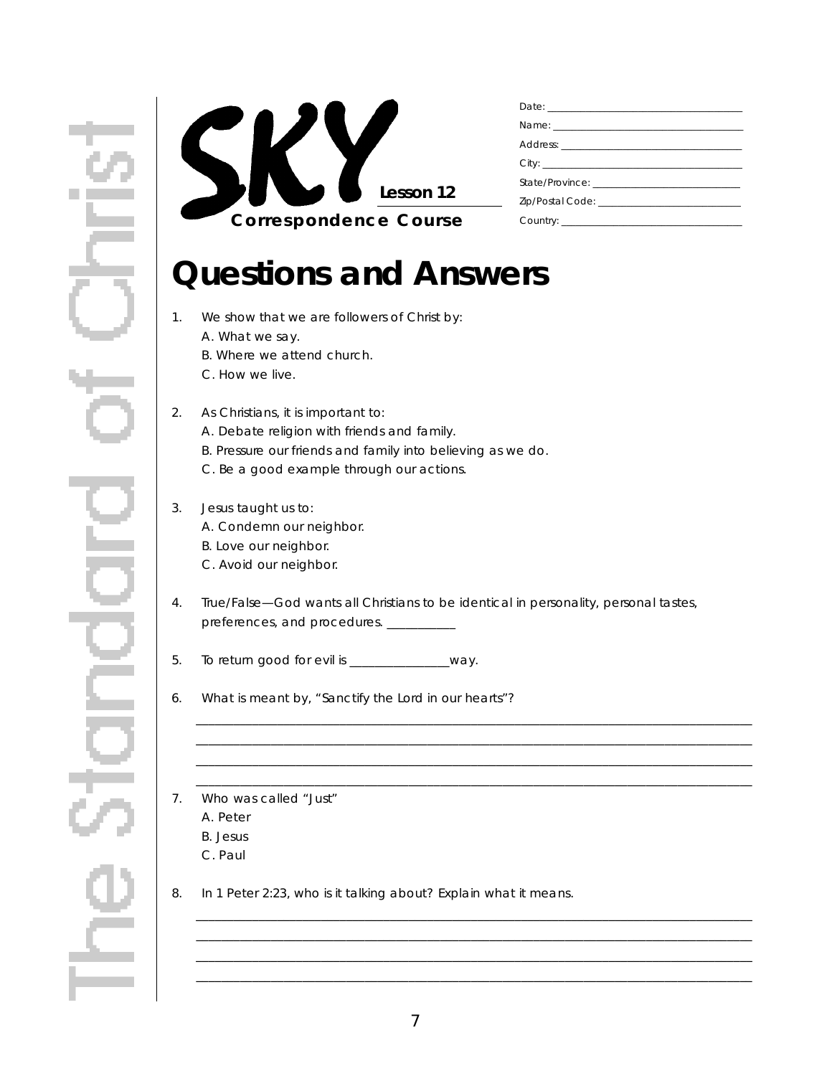

## **Questions and Answers**

- 1. We show that we are followers of Christ by:
	- A. What we say.
	- B. Where we attend church.
	- C. How we live.

### 2. As Christians, it is important to:

- A. Debate religion with friends and family.
- B. Pressure our friends and family into believing as we do.
- C. Be a good example through our actions.

## 3. Jesus taught us to:

- A. Condemn our neighbor.
- B. Love our neighbor.
- C. Avoid our neighbor.
- 4 . True/False—God wants all Christians to be identical in personality, personal tastes, preferences, and procedures. \_\_\_\_\_\_\_\_\_\_

\_ \_ \_ \_ \_ \_ \_ \_ \_ \_ \_ \_ \_ \_ \_ \_ \_ \_ \_ \_ \_ \_ \_ \_ \_ \_ \_ \_ \_ \_ \_ \_ \_ \_ \_ \_ \_ \_ \_ \_ \_ \_ \_ \_ \_ \_ \_ \_ \_ \_ \_ \_ \_ \_ \_ \_ \_ \_ \_ \_ \_ \_ \_ \_ \_ \_ \_ \_ \_ \_ \_ \_ \_ \_ \_ \_ \_ \_ \_ \_ \_ \_ \_ \_ \_ \_ \_ \_ \_ \_\_\_\_\_\_\_\_\_\_\_\_\_\_\_\_\_\_\_\_\_\_\_\_\_\_\_\_\_\_\_\_\_\_\_\_\_\_\_\_\_\_\_\_\_\_\_\_\_\_\_\_\_\_\_\_\_\_\_\_\_\_\_\_\_\_\_\_\_\_\_\_\_\_\_\_\_\_\_\_\_\_\_\_\_\_\_\_\_ \_ \_ \_ \_ \_ \_ \_ \_ \_ \_ \_ \_ \_ \_ \_ \_ \_ \_ \_ \_ \_ \_ \_ \_ \_ \_ \_ \_ \_ \_ \_ \_ \_ \_ \_ \_ \_ \_ \_ \_ \_ \_ \_ \_ \_ \_ \_ \_ \_ \_ \_ \_ \_ \_ \_ \_ \_ \_ \_ \_ \_ \_ \_ \_ \_ \_ \_ \_ \_ \_ \_ \_ \_ \_ \_ \_ \_ \_ \_ \_ \_ \_ \_ \_ \_ \_ \_ \_ \_ \_\_\_\_\_\_\_\_\_\_\_\_\_\_\_\_\_\_\_\_\_\_\_\_\_\_\_\_\_\_\_\_\_\_\_\_\_\_\_\_\_\_\_\_\_\_\_\_\_\_\_\_\_\_\_\_\_\_\_\_\_\_\_\_\_\_\_\_\_\_\_\_\_\_\_\_\_\_\_\_\_\_\_\_\_\_\_\_\_

\_ \_ \_ \_ \_ \_ \_ \_ \_ \_ \_ \_ \_ \_ \_ \_ \_ \_ \_ \_ \_ \_ \_ \_ \_ \_ \_ \_ \_ \_ \_ \_ \_ \_ \_ \_ \_ \_ \_ \_ \_ \_ \_ \_ \_ \_ \_ \_ \_ \_ \_ \_ \_ \_ \_ \_ \_ \_ \_ \_ \_ \_ \_ \_ \_ \_ \_ \_ \_ \_ \_ \_ \_ \_ \_ \_ \_ \_ \_ \_ \_ \_ \_ \_ \_ \_ \_ \_ \_ \_\_\_\_\_\_\_\_\_\_\_\_\_\_\_\_\_\_\_\_\_\_\_\_\_\_\_\_\_\_\_\_\_\_\_\_\_\_\_\_\_\_\_\_\_\_\_\_\_\_\_\_\_\_\_\_\_\_\_\_\_\_\_\_\_\_\_\_\_\_\_\_\_\_\_\_\_\_\_\_\_\_\_\_\_\_\_\_\_ \_ \_ \_ \_ \_ \_ \_ \_ \_ \_ \_ \_ \_ \_ \_ \_ \_ \_ \_ \_ \_ \_ \_ \_ \_ \_ \_ \_ \_ \_ \_ \_ \_ \_ \_ \_ \_ \_ \_ \_ \_ \_ \_ \_ \_ \_ \_ \_ \_ \_ \_ \_ \_ \_ \_ \_ \_ \_ \_ \_ \_ \_ \_ \_ \_ \_ \_ \_ \_ \_ \_ \_ \_ \_ \_ \_ \_ \_ \_ \_ \_ \_ \_ \_ \_ \_ \_ \_ \_ \_\_\_\_\_\_\_\_\_\_\_\_\_\_\_\_\_\_\_\_\_\_\_\_\_\_\_\_\_\_\_\_\_\_\_\_\_\_\_\_\_\_\_\_\_\_\_\_\_\_\_\_\_\_\_\_\_\_\_\_\_\_\_\_\_\_\_\_\_\_\_\_\_\_\_\_\_\_\_\_\_\_\_\_\_\_\_\_\_

5. To return good for evil is \_\_\_\_\_\_\_\_\_\_\_\_\_\_way.

6. What is meant by, "Sanctify the Lord in our hearts"?

- 7. Who was called "Just"
	- A. Peter
	- B. Jesus
	- C. Paul
- 8. In 1 Peter 2:23, who is it talking about? Explain what it means.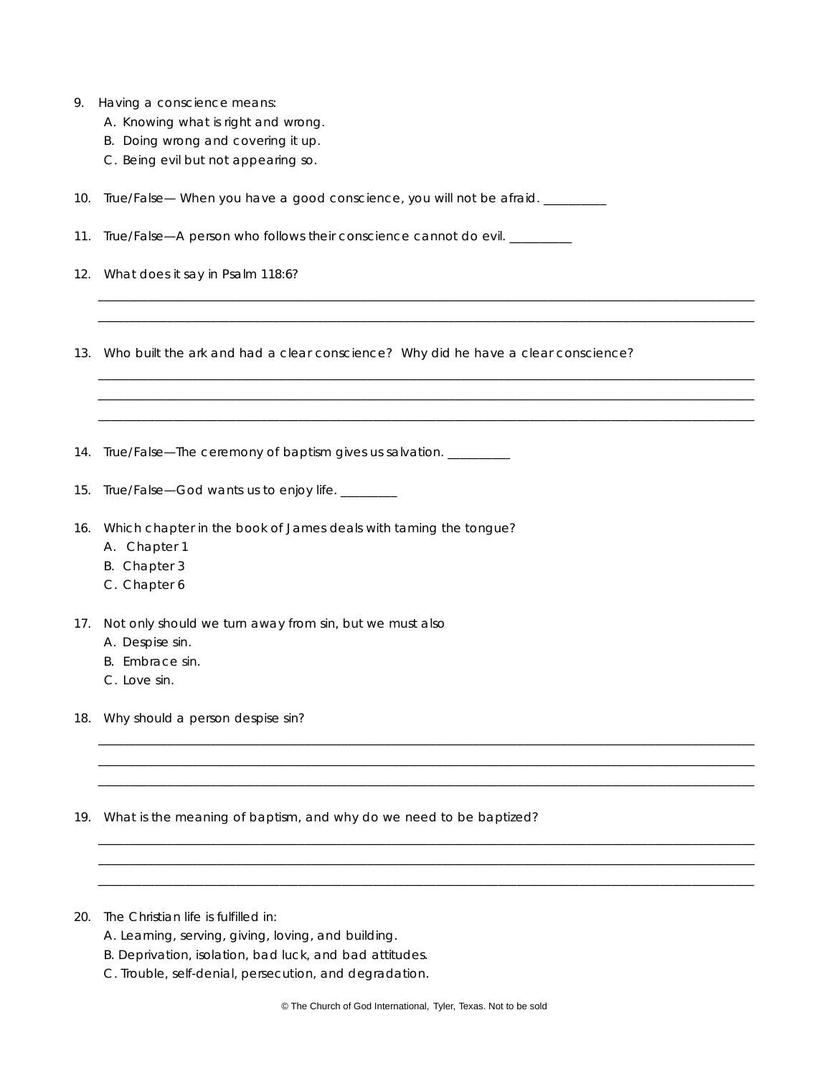|  | 9. Having a conscience means: |  |
|--|-------------------------------|--|
|  |                               |  |

- A. Knowing what is right and wrong.
- B. Doing wrong and covering it up.
- C. Being evil but not appearing so.

10. True/False— When you have a good conscience, you will not be afraid. \_\_\_\_\_\_\_\_

11. True/False-A person who follows their conscience cannot do evil. \_\_\_\_\_\_\_\_

12. What does it say in Psalm 118:6?

13. Who built the ark and had a clear conscience? Why did he have a clear conscience?

\_ \_ \_ \_ \_ \_ \_ \_ \_ \_ \_ \_ \_ \_ \_ \_ \_ \_ \_ \_ \_ \_ \_ \_ \_ \_ \_ \_ \_ \_ \_ \_ \_ \_ \_ \_ \_ \_ \_ \_ \_ \_ \_ \_ \_ \_ \_ \_ \_ \_ \_ \_ \_ \_ \_ \_ \_ \_ \_ \_ \_ \_ \_ \_ \_ \_ \_ \_ \_ \_ \_ \_ \_ \_ \_ \_ \_ \_ \_ \_ \_ \_ \_ \_ \_ \_ \_ \_ \_ \_ \_ \_ \_ \_ \_ \_ \_ \_ \_ \_ \_ \_ \_ \_ \_ \_ \_ \_ \_ \_ \_ \_ \_ \_ \_ \_ \_ \_ \_ \_ \_ \_ \_ \_ \_ \_ \_ \_ \_ \_ \_ \_ \_ \_ \_ \_ \_ \_ \_ \_ \_ \_ \_ \_ \_ \_ \_ \_ \_ \_ \_ \_ \_ \_ \_ \_ \_ \_ \_ \_ \_ \_ \_ \_ \_ \_ \_ \_ \_ \_ \_ \_ \_ \_ \_ \_ \_ \_ \_ \_ \_ \_ \_ \_ \_ \_ \_ \_ \_ \_ \_ \_ \_ \_ \_ \_ \_ \_ \_ \_ \_ \_ \_ \_ \_ \_ \_ \_ \_ \_

\_ \_ \_ \_ \_ \_ \_ \_ \_ \_ \_ \_ \_ \_ \_ \_ \_ \_ \_ \_ \_ \_ \_ \_ \_ \_ \_ \_ \_ \_ \_ \_ \_ \_ \_ \_ \_ \_ \_ \_ \_ \_ \_ \_ \_ \_ \_ \_ \_ \_ \_ \_ \_ \_ \_ \_ \_ \_ \_ \_ \_ \_ \_ \_ \_ \_ \_ \_ \_ \_ \_ \_ \_ \_ \_ \_ \_ \_ \_ \_ \_ \_ \_ \_ \_ \_ \_ \_ \_ \_ \_ \_ \_ \_ \_ \_ \_ \_ \_ \_ \_ \_ \_ \_ \_ \_ \_ \_ \_ \_ \_ \_ \_ \_ \_ \_ \_ \_ \_ \_ \_ \_ \_ \_ \_ \_ \_ \_ \_ \_ \_ \_ \_ \_ \_ \_ \_ \_ \_ \_ \_ \_ \_ \_ \_ \_ \_ \_ \_ \_ \_ \_ \_ \_ \_ \_ \_ \_ \_ \_ \_ \_ \_ \_ \_ \_ \_ \_ \_ \_ \_ \_ \_ \_ \_ \_ \_ \_ \_ \_ \_ \_ \_ \_ \_ \_ \_ \_ \_ \_ \_ \_ \_ \_ \_ \_ \_ \_ \_ \_ \_ \_ \_ \_ \_ \_ \_ \_ \_ \_ \_\_\_\_\_\_\_\_\_\_\_\_\_\_\_\_\_\_\_\_\_\_\_\_\_\_\_\_\_\_\_\_\_\_\_\_\_\_\_\_\_\_\_\_\_\_\_\_\_\_\_\_\_\_\_\_\_\_\_\_\_\_\_\_\_\_\_\_\_\_\_\_\_\_\_\_\_\_\_\_\_\_\_\_\_\_\_\_\_\_\_\_\_\_\_\_\_\_\_\_\_\_\_\_\_

14. True/False—The ceremony of baptism gives us salvation. \_\_\_\_\_\_\_

15. True/False-God wants us to enjoy life. \_\_\_\_\_\_\_\_

- 16. Which chapter in the book of James deals with taming the tongue?
	- A. Chapter 1
	- B. Chapter 3
	- C. Chapter 6
- 17. Not only should we turn away from sin, but we must also
	- A. Despise sin.
	- B. Embrace sin.
	- C. Love sin.

18. Why should a person despise sin?

19. What is the meaning of baptism, and why do we need to be baptized?

20. The Christian life is fulfilled in:

- A. Learning, serving, giving, loving, and building.
- B. Deprivation, isolation, bad luck, and bad attitudes.
- C. Trouble, self-denial, persecution, and degradation.

\_ \_ \_ \_ \_ \_ \_ \_ \_ \_ \_ \_ \_ \_ \_ \_ \_ \_ \_ \_ \_ \_ \_ \_ \_ \_ \_ \_ \_ \_ \_ \_ \_ \_ \_ \_ \_ \_ \_ \_ \_ \_ \_ \_ \_ \_ \_ \_ \_ \_ \_ \_ \_ \_ \_ \_ \_ \_ \_ \_ \_ \_ \_ \_ \_ \_ \_ \_ \_ \_ \_ \_ \_ \_ \_ \_ \_ \_ \_ \_ \_ \_ \_ \_ \_ \_ \_ \_ \_ \_ \_ \_ \_ \_ \_ \_ \_ \_ \_ \_ \_ \_ \_ \_ \_ \_ \_ \_ \_ \_ \_ \_ \_ \_ \_ \_ \_ \_ \_ \_ \_ \_ \_ \_ \_ \_ \_ \_ \_ \_ \_ \_ \_ \_ \_ \_ \_ \_ \_ \_ \_ \_ \_ \_ \_ \_ \_ \_ \_ \_ \_ \_ \_ \_ \_ \_ \_ \_ \_ \_ \_ \_ \_ \_ \_ \_ \_ \_ \_ \_ \_ \_ \_ \_ \_ \_ \_ \_ \_ \_ \_ \_ \_ \_ \_ \_ \_ \_ \_ \_ \_ \_ \_ \_ \_ \_ \_ \_ \_ \_ \_ \_ \_ \_ \_ \_ \_ \_ \_ \_ \_ \_ \_ \_ \_ \_ \_ \_ \_ \_ \_ \_ \_ \_ \_ \_ \_ \_ \_ \_ \_ \_ \_ \_ \_ \_ \_ \_ \_ \_ \_ \_ \_ \_ \_ \_ \_ \_ \_ \_ \_ \_ \_ \_ \_ \_ \_ \_ \_ \_ \_ \_ \_ \_ \_ \_ \_ \_ \_ \_ \_ \_ \_ \_ \_ \_ \_ \_ \_ \_ \_ \_ \_ \_ \_ \_ \_ \_ \_ \_ \_ \_ \_ \_ \_ \_ \_ \_ \_ \_ \_ \_ \_ \_ \_ \_ \_ \_ \_ \_ \_ \_ \_ \_ \_

\_ \_ \_ \_ \_ \_ \_ \_ \_ \_ \_ \_ \_ \_ \_ \_ \_ \_ \_ \_ \_ \_ \_ \_ \_ \_ \_ \_ \_ \_ \_ \_ \_ \_ \_ \_ \_ \_ \_ \_ \_ \_ \_ \_ \_ \_ \_ \_ \_ \_ \_ \_ \_ \_ \_ \_ \_ \_ \_ \_ \_ \_ \_ \_ \_ \_ \_ \_ \_ \_ \_ \_ \_ \_ \_ \_ \_ \_ \_ \_ \_ \_ \_ \_ \_ \_ \_ \_ \_ \_ \_ \_ \_ \_ \_ \_ \_ \_ \_ \_ \_ \_ \_ \_ \_ \_ \_ \_ \_ \_ \_ \_ \_ \_ \_ \_ \_ \_ \_ \_ \_ \_ \_ \_ \_ \_ \_ \_ \_ \_ \_ \_ \_ \_ \_ \_ \_ \_ \_ \_ \_ \_ \_ \_ \_ \_ \_ \_ \_ \_ \_ \_ \_ \_ \_ \_ \_ \_ \_ \_ \_ \_ \_ \_ \_ \_ \_ \_ \_ \_ \_ \_ \_ \_ \_ \_ \_ \_ \_ \_ \_ \_ \_ \_ \_ \_ \_ \_ \_ \_ \_ \_ \_ \_ \_ \_ \_ \_ \_ \_ \_ \_ \_ \_ \_ \_ \_ \_ \_ \_ \_\_\_\_\_\_\_\_\_\_\_\_\_\_\_\_\_\_\_\_\_\_\_\_\_\_\_\_\_\_\_\_\_\_\_\_\_\_\_\_\_\_\_\_\_\_\_\_\_\_\_\_\_\_\_\_\_\_\_\_\_\_\_\_\_\_\_\_\_\_\_\_\_\_\_\_\_\_\_\_\_\_\_\_\_\_\_\_\_\_\_\_\_\_\_\_\_\_\_\_\_\_\_\_\_